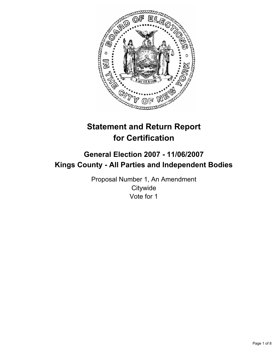

# **Statement and Return Report for Certification**

## **General Election 2007 - 11/06/2007 Kings County - All Parties and Independent Bodies**

Proposal Number 1, An Amendment **Citywide** Vote for 1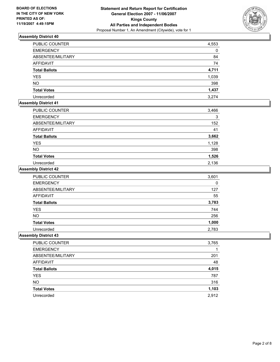

| <b>PUBLIC COUNTER</b> | 4,553 |
|-----------------------|-------|
| <b>EMERGENCY</b>      | 0     |
| ABSENTEE/MILITARY     | 84    |
| AFFIDAVIT             | 74    |
| <b>Total Ballots</b>  | 4,711 |
| <b>YES</b>            | 1,039 |
| <b>NO</b>             | 398   |
| <b>Total Votes</b>    | 1,437 |
| Unrecorded            | 3,274 |

## **Assembly District 41**

| PUBLIC COUNTER       | 3,466 |
|----------------------|-------|
| <b>EMERGENCY</b>     |       |
| ABSENTEE/MILITARY    | 152   |
| AFFIDAVIT            | 41    |
| <b>Total Ballots</b> | 3,662 |
| <b>YES</b>           | 1,128 |
| <b>NO</b>            | 398   |
| <b>Total Votes</b>   | 1,526 |
| Unrecorded           | 2,136 |

#### **Assembly District 42**

| PUBLIC COUNTER       | 3,601 |
|----------------------|-------|
| <b>EMERGENCY</b>     | 0     |
| ABSENTEE/MILITARY    | 127   |
| <b>AFFIDAVIT</b>     | 55    |
| <b>Total Ballots</b> | 3,783 |
| <b>YES</b>           | 744   |
| <b>NO</b>            | 256   |
| <b>Total Votes</b>   | 1,000 |
| Unrecorded           | 2,783 |

| PUBLIC COUNTER       | 3,765 |
|----------------------|-------|
| <b>EMERGENCY</b>     |       |
| ABSENTEE/MILITARY    | 201   |
| AFFIDAVIT            | 48    |
| <b>Total Ballots</b> | 4,015 |
| <b>YES</b>           | 787   |
| <b>NO</b>            | 316   |
| <b>Total Votes</b>   | 1,103 |
| Unrecorded           | 2,912 |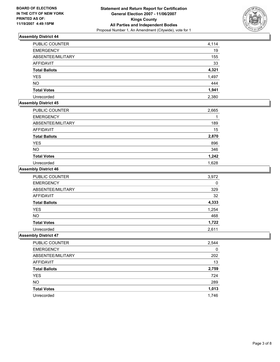

| PUBLIC COUNTER       | 4,114 |
|----------------------|-------|
| <b>EMERGENCY</b>     | 19    |
| ABSENTEE/MILITARY    | 155   |
| AFFIDAVIT            | 33    |
| <b>Total Ballots</b> | 4,321 |
| <b>YES</b>           | 1,497 |
| <b>NO</b>            | 444   |
| <b>Total Votes</b>   | 1,941 |
| Unrecorded           | 2,380 |

## **Assembly District 45**

| PUBLIC COUNTER       | 2,665 |
|----------------------|-------|
| <b>EMERGENCY</b>     |       |
| ABSENTEE/MILITARY    | 189   |
| AFFIDAVIT            | 15    |
| <b>Total Ballots</b> | 2,870 |
| <b>YES</b>           | 896   |
| <b>NO</b>            | 346   |
| <b>Total Votes</b>   | 1,242 |
| Unrecorded           | 1,628 |

#### **Assembly District 46**

| <b>PUBLIC COUNTER</b> | 3,972 |
|-----------------------|-------|
| <b>EMERGENCY</b>      | 0     |
| ABSENTEE/MILITARY     | 329   |
| <b>AFFIDAVIT</b>      | 32    |
| <b>Total Ballots</b>  | 4,333 |
| <b>YES</b>            | 1,254 |
| <b>NO</b>             | 468   |
| <b>Total Votes</b>    | 1,722 |
| Unrecorded            | 2,611 |

| PUBLIC COUNTER       | 2,544 |
|----------------------|-------|
| <b>EMERGENCY</b>     |       |
| ABSENTEE/MILITARY    | 202   |
| <b>AFFIDAVIT</b>     | 13    |
| <b>Total Ballots</b> | 2,759 |
| <b>YES</b>           | 724   |
| <b>NO</b>            | 289   |
| <b>Total Votes</b>   | 1,013 |
| Unrecorded           | 1,746 |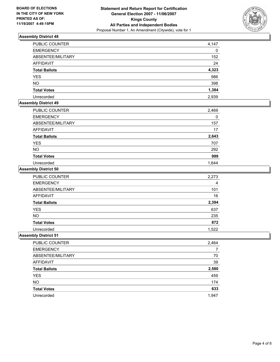

| PUBLIC COUNTER       | 4,147 |
|----------------------|-------|
| <b>EMERGENCY</b>     | 0     |
| ABSENTEE/MILITARY    | 152   |
| AFFIDAVIT            | 24    |
| <b>Total Ballots</b> | 4,323 |
| <b>YES</b>           | 986   |
| <b>NO</b>            | 398   |
| <b>Total Votes</b>   | 1,384 |
| Unrecorded           | 2,939 |

## **Assembly District 49**

| PUBLIC COUNTER       | 2,469 |
|----------------------|-------|
| <b>EMERGENCY</b>     |       |
| ABSENTEE/MILITARY    | 157   |
| AFFIDAVIT            | 17    |
| <b>Total Ballots</b> | 2,643 |
| <b>YES</b>           | 707   |
| <b>NO</b>            | 292   |
| <b>Total Votes</b>   | 999   |
| Unrecorded           | 1.644 |

#### **Assembly District 50**

| PUBLIC COUNTER       | 2,273 |
|----------------------|-------|
| <b>EMERGENCY</b>     |       |
| ABSENTEE/MILITARY    | 101   |
| AFFIDAVIT            | 16    |
| <b>Total Ballots</b> | 2,394 |
| <b>YES</b>           | 637   |
| <b>NO</b>            | 235   |
| <b>Total Votes</b>   | 872   |
| Unrecorded           | 1,522 |

| <b>PUBLIC COUNTER</b> | 2,464 |
|-----------------------|-------|
| <b>EMERGENCY</b>      |       |
| ABSENTEE/MILITARY     | 70    |
| AFFIDAVIT             | 39    |
| <b>Total Ballots</b>  | 2,580 |
| <b>YES</b>            | 459   |
| <b>NO</b>             | 174   |
| <b>Total Votes</b>    | 633   |
| Unrecorded            | 1,947 |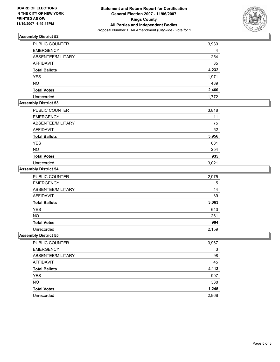

| PUBLIC COUNTER       | 3,939 |
|----------------------|-------|
| <b>EMERGENCY</b>     | 4     |
| ABSENTEE/MILITARY    | 254   |
| AFFIDAVIT            | 35    |
| <b>Total Ballots</b> | 4,232 |
| <b>YES</b>           | 1,971 |
| <b>NO</b>            | 489   |
| <b>Total Votes</b>   | 2,460 |
| Unrecorded           | 1,772 |

## **Assembly District 53**

| PUBLIC COUNTER       | 3,818 |
|----------------------|-------|
| <b>EMERGENCY</b>     | 11    |
| ABSENTEE/MILITARY    | 75    |
| AFFIDAVIT            | 52    |
| <b>Total Ballots</b> | 3,956 |
| <b>YES</b>           | 681   |
| <b>NO</b>            | 254   |
| <b>Total Votes</b>   | 935   |
| Unrecorded           | 3,021 |

#### **Assembly District 54**

| PUBLIC COUNTER       | 2,975 |
|----------------------|-------|
| <b>EMERGENCY</b>     | 5     |
| ABSENTEE/MILITARY    | 44    |
| <b>AFFIDAVIT</b>     | 39    |
| <b>Total Ballots</b> | 3,063 |
| <b>YES</b>           | 643   |
| <b>NO</b>            | 261   |
| <b>Total Votes</b>   | 904   |
| Unrecorded           | 2,159 |

| PUBLIC COUNTER       | 3,967 |
|----------------------|-------|
| <b>EMERGENCY</b>     |       |
| ABSENTEE/MILITARY    | 98    |
| AFFIDAVIT            | 45    |
| <b>Total Ballots</b> | 4,113 |
| YES                  | 907   |
| <b>NO</b>            | 338   |
| <b>Total Votes</b>   | 1,245 |
| Unrecorded           | 2,868 |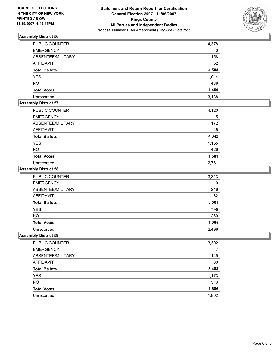

| <b>PUBLIC COUNTER</b> | 4,378 |
|-----------------------|-------|
| <b>EMERGENCY</b>      | 0     |
| ABSENTEE/MILITARY     | 158   |
| <b>AFFIDAVIT</b>      | 52    |
| <b>Total Ballots</b>  | 4,588 |
| <b>YES</b>            | 1,014 |
| <b>NO</b>             | 436   |
| <b>Total Votes</b>    | 1,450 |
| Unrecorded            | 3,138 |

## **Assembly District 57**

| PUBLIC COUNTER       | 4,120 |
|----------------------|-------|
| <b>EMERGENCY</b>     | 5     |
| ABSENTEE/MILITARY    | 172   |
| AFFIDAVIT            | 45    |
| <b>Total Ballots</b> | 4,342 |
| <b>YES</b>           | 1,155 |
| <b>NO</b>            | 426   |
| <b>Total Votes</b>   | 1,581 |
| Unrecorded           | 2,761 |

#### **Assembly District 58**

| PUBLIC COUNTER       | 3,313 |
|----------------------|-------|
| <b>EMERGENCY</b>     | 0     |
| ABSENTEE/MILITARY    | 216   |
| <b>AFFIDAVIT</b>     | 32    |
| <b>Total Ballots</b> | 3,561 |
| <b>YES</b>           | 796   |
| <b>NO</b>            | 269   |
| <b>Total Votes</b>   | 1,065 |
| Unrecorded           | 2,496 |

| PUBLIC COUNTER       | 3,302 |
|----------------------|-------|
| <b>EMERGENCY</b>     |       |
| ABSENTEE/MILITARY    | 149   |
| AFFIDAVIT            | 30    |
| <b>Total Ballots</b> | 3,488 |
| <b>YES</b>           | 1,173 |
| <b>NO</b>            | 513   |
| <b>Total Votes</b>   | 1,686 |
| Unrecorded           | 1,802 |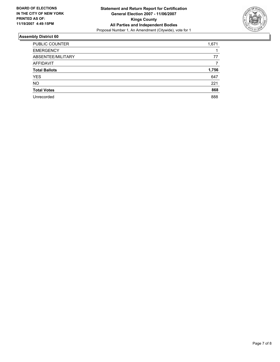

| PUBLIC COUNTER       | 1,671 |
|----------------------|-------|
| <b>EMERGENCY</b>     |       |
| ABSENTEE/MILITARY    | 77    |
| <b>AFFIDAVIT</b>     |       |
| <b>Total Ballots</b> | 1,756 |
| <b>YES</b>           | 647   |
| <b>NO</b>            | 221   |
| <b>Total Votes</b>   | 868   |
| Unrecorded           | 888   |